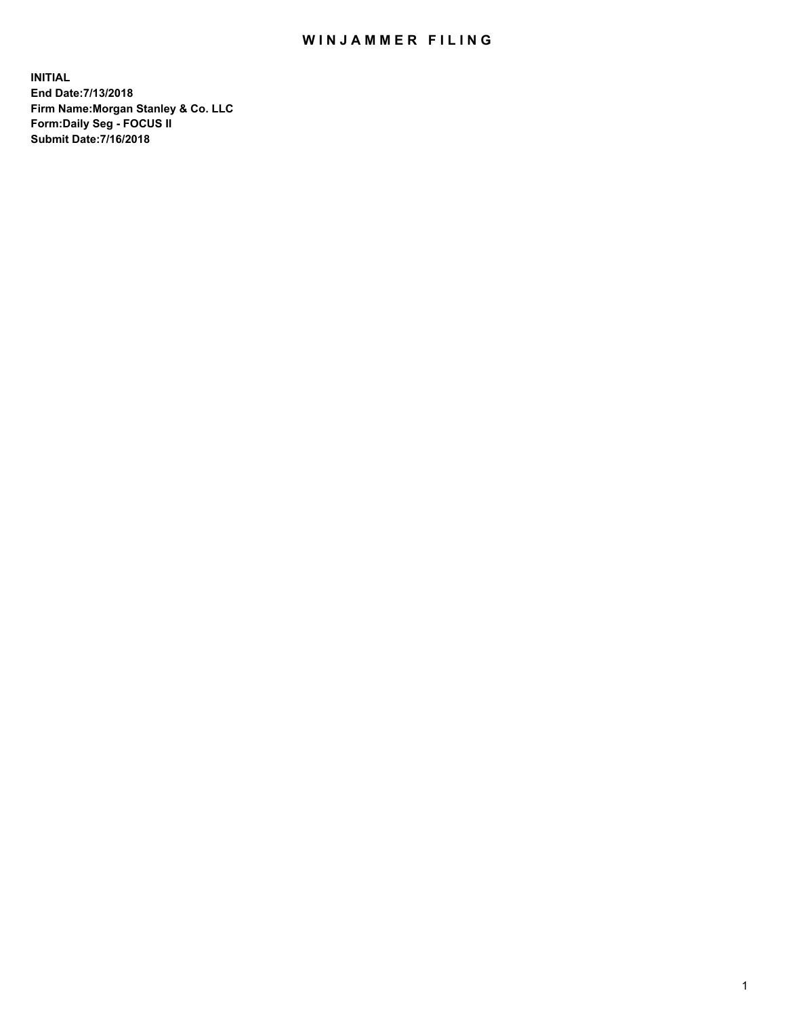## WIN JAMMER FILING

**INITIAL End Date:7/13/2018 Firm Name:Morgan Stanley & Co. LLC Form:Daily Seg - FOCUS II Submit Date:7/16/2018**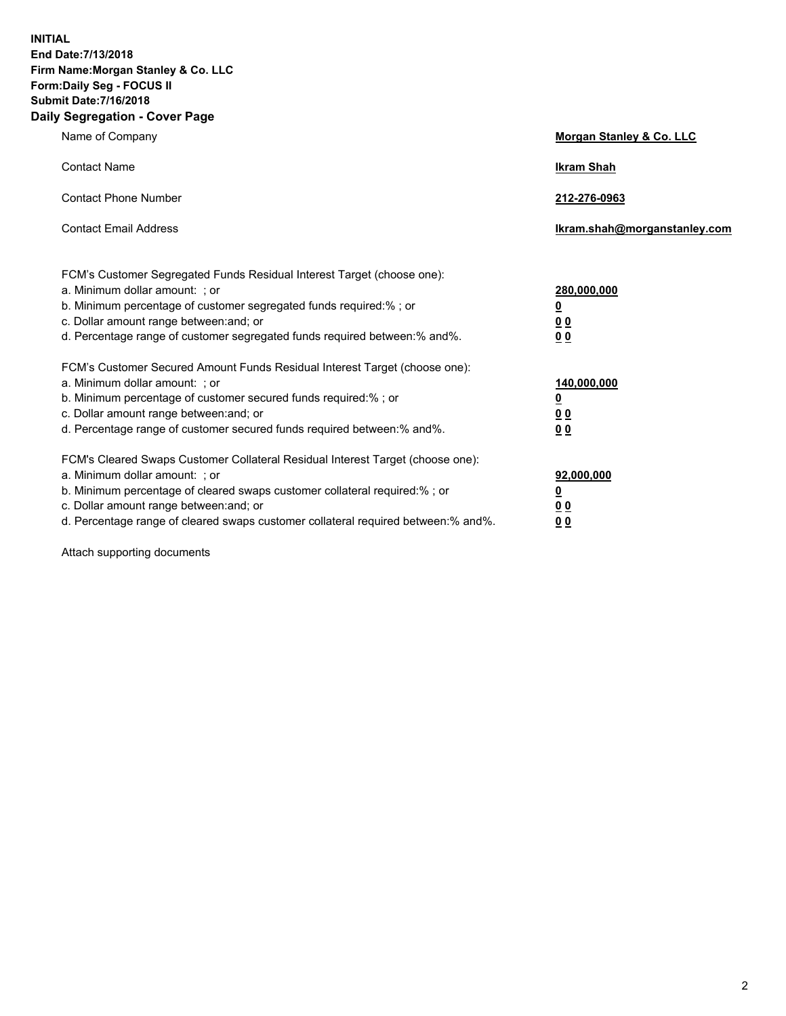**INITIAL End Date:7/13/2018 Firm Name:Morgan Stanley & Co. LLC Form:Daily Seg - FOCUS II Submit Date:7/16/2018 Daily Segregation - Cover Page**

| Name of Company                                                                                                                                                                                                                                                                                                                | Morgan Stanley & Co. LLC                               |
|--------------------------------------------------------------------------------------------------------------------------------------------------------------------------------------------------------------------------------------------------------------------------------------------------------------------------------|--------------------------------------------------------|
| <b>Contact Name</b>                                                                                                                                                                                                                                                                                                            | <b>Ikram Shah</b>                                      |
| <b>Contact Phone Number</b>                                                                                                                                                                                                                                                                                                    | 212-276-0963                                           |
| <b>Contact Email Address</b>                                                                                                                                                                                                                                                                                                   | lkram.shah@morganstanley.com                           |
| FCM's Customer Segregated Funds Residual Interest Target (choose one):<br>a. Minimum dollar amount: ; or<br>b. Minimum percentage of customer segregated funds required:% ; or<br>c. Dollar amount range between: and; or<br>d. Percentage range of customer segregated funds required between:% and%.                         | 280,000,000<br><u>0</u><br><u>0 0</u><br>0 Q           |
| FCM's Customer Secured Amount Funds Residual Interest Target (choose one):<br>a. Minimum dollar amount: ; or<br>b. Minimum percentage of customer secured funds required:%; or<br>c. Dollar amount range between: and; or<br>d. Percentage range of customer secured funds required between:% and%.                            | 140,000,000<br><u>0</u><br><u>00</u><br>0 <sub>0</sub> |
| FCM's Cleared Swaps Customer Collateral Residual Interest Target (choose one):<br>a. Minimum dollar amount: ; or<br>b. Minimum percentage of cleared swaps customer collateral required:% ; or<br>c. Dollar amount range between: and; or<br>d. Percentage range of cleared swaps customer collateral required between:% and%. | 92,000,000<br><u>0</u><br><u>00</u><br>0 <sup>0</sup>  |

Attach supporting documents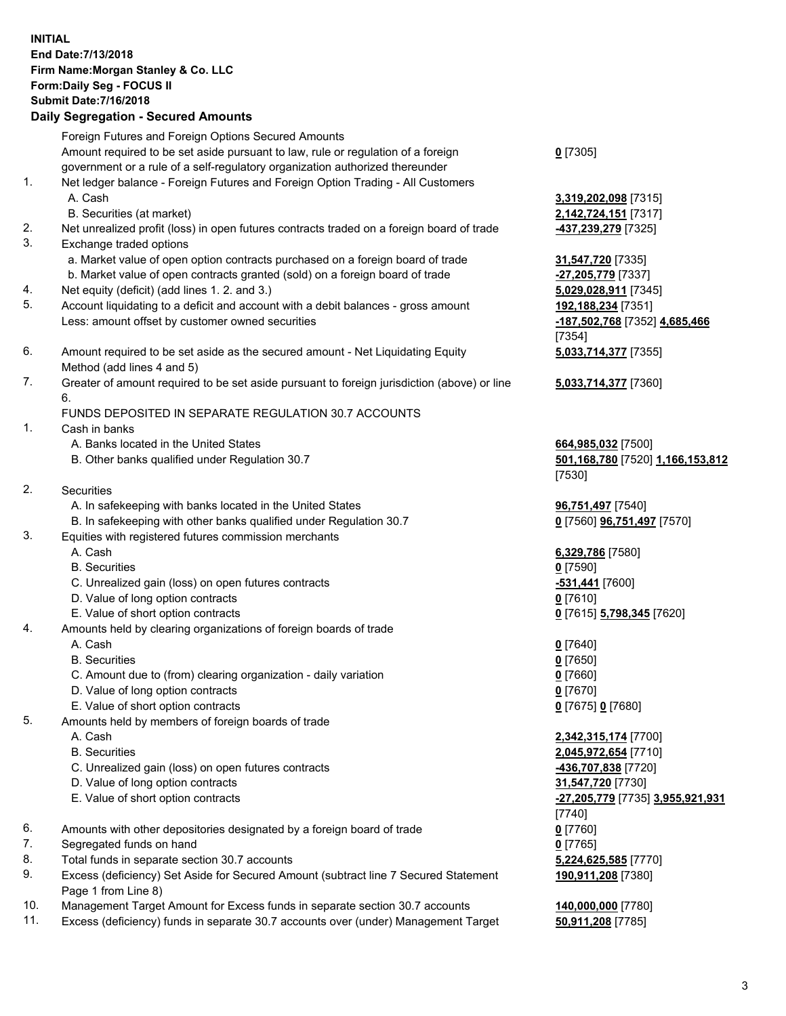## **INITIAL End Date:7/13/2018 Firm Name:Morgan Stanley & Co. LLC Form:Daily Seg - FOCUS II Submit Date:7/16/2018 Daily Segregation - Secured Amounts**

Foreign Futures and Foreign Options Secured Amounts Amount required to be set aside pursuant to law, rule or regulation of a foreign government or a rule of a self-regulatory organization authorized thereunder 1. Net ledger balance - Foreign Futures and Foreign Option Trading - All Customers A. Cash **3,319,202,098** [7315] B. Securities (at market) **2,142,724,151** [7317] 2. Net unrealized profit (loss) in open futures contracts traded on a foreign board of trade **-437,239,279** [7325] 3. Exchange traded options a. Market value of open option contracts purchased on a foreign board of trade **31,547,720** [7335] b. Market value of open contracts granted (sold) on a foreign board of trade **-27,205,779** [7337] 4. Net equity (deficit) (add lines 1. 2. and 3.) **5,029,028,911** [7345] 5. Account liquidating to a deficit and account with a debit balances - gross amount **192,188,234** [7351] Less: amount offset by customer owned securities **-187,502,768** [7352] **4,685,466** 6. Amount required to be set aside as the secured amount - Net Liquidating Equity Method (add lines 4 and 5) 7. Greater of amount required to be set aside pursuant to foreign jurisdiction (above) or line 6. FUNDS DEPOSITED IN SEPARATE REGULATION 30.7 ACCOUNTS 1. Cash in banks A. Banks located in the United States **664,985,032** [7500] B. Other banks qualified under Regulation 30.7 **501,168,780** [7520] **1,166,153,812**

- 2. Securities
	- A. In safekeeping with banks located in the United States **96,751,497** [7540]
	- B. In safekeeping with other banks qualified under Regulation 30.7 **0** [7560] **96,751,497** [7570]
- 3. Equities with registered futures commission merchants
	-
	- B. Securities **0** [7590]
	- C. Unrealized gain (loss) on open futures contracts **-531,441** [7600]
	- D. Value of long option contracts **0** [7610]
- E. Value of short option contracts **0** [7615] **5,798,345** [7620]
- 4. Amounts held by clearing organizations of foreign boards of trade
	- A. Cash **0** [7640]
	- B. Securities **0** [7650]
	- C. Amount due to (from) clearing organization daily variation **0** [7660]
	- D. Value of long option contracts **0** [7670]
	- E. Value of short option contracts **0** [7675] **0** [7680]
- 5. Amounts held by members of foreign boards of trade
	-
	-
	- C. Unrealized gain (loss) on open futures contracts **-436,707,838** [7720]
	- D. Value of long option contracts **31,547,720** [7730]
	- E. Value of short option contracts **-27,205,779** [7735] **3,955,921,931**
- 6. Amounts with other depositories designated by a foreign board of trade **0** [7760]
- 7. Segregated funds on hand **0** [7765]
- 8. Total funds in separate section 30.7 accounts **5,224,625,585** [7770]
- 9. Excess (deficiency) Set Aside for Secured Amount (subtract line 7 Secured Statement Page 1 from Line 8)
- 10. Management Target Amount for Excess funds in separate section 30.7 accounts **140,000,000** [7780]
- 11. Excess (deficiency) funds in separate 30.7 accounts over (under) Management Target **50,911,208** [7785]

**0** [7305]

[7354] **5,033,714,377** [7355]

**5,033,714,377** [7360]

[7530]

A. Cash **6,329,786** [7580]

 A. Cash **2,342,315,174** [7700] B. Securities **2,045,972,654** [7710] [7740] **190,911,208** [7380]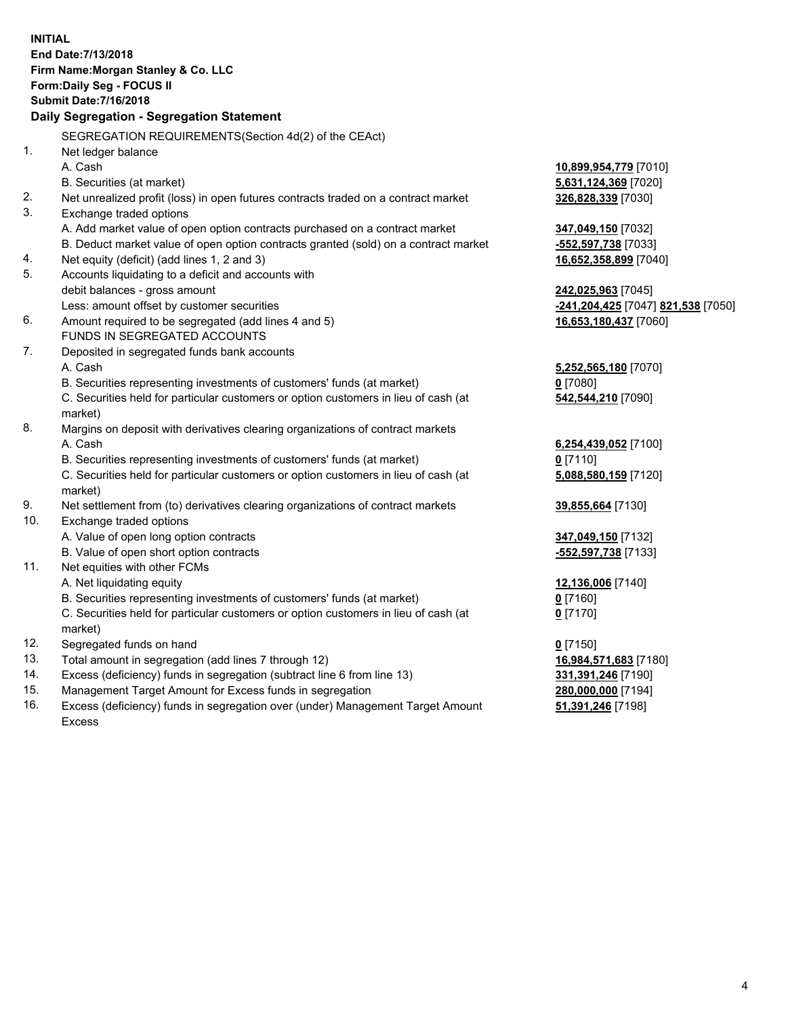**INITIAL End Date:7/13/2018 Firm Name:Morgan Stanley & Co. LLC Form:Daily Seg - FOCUS II Submit Date:7/16/2018 Daily Segregation - Segregation Statement** SEGREGATION REQUIREMENTS(Section 4d(2) of the CEAct) 1. Net ledger balance A. Cash **10,899,954,779** [7010] B. Securities (at market) **5,631,124,369** [7020] 2. Net unrealized profit (loss) in open futures contracts traded on a contract market **326,828,339** [7030] 3. Exchange traded options A. Add market value of open option contracts purchased on a contract market **347,049,150** [7032] B. Deduct market value of open option contracts granted (sold) on a contract market **-552,597,738** [7033] 4. Net equity (deficit) (add lines 1, 2 and 3) **16,652,358,899** [7040] 5. Accounts liquidating to a deficit and accounts with debit balances - gross amount **242,025,963** [7045] Less: amount offset by customer securities **-241,204,425** [7047] **821,538** [7050] 6. Amount required to be segregated (add lines 4 and 5) **16,653,180,437** [7060] FUNDS IN SEGREGATED ACCOUNTS 7. Deposited in segregated funds bank accounts A. Cash **5,252,565,180** [7070] B. Securities representing investments of customers' funds (at market) **0** [7080] C. Securities held for particular customers or option customers in lieu of cash (at market) **542,544,210** [7090] 8. Margins on deposit with derivatives clearing organizations of contract markets A. Cash **6,254,439,052** [7100] B. Securities representing investments of customers' funds (at market) **0** [7110] C. Securities held for particular customers or option customers in lieu of cash (at market) **5,088,580,159** [7120] 9. Net settlement from (to) derivatives clearing organizations of contract markets **39,855,664** [7130] 10. Exchange traded options A. Value of open long option contracts **347,049,150** [7132] B. Value of open short option contracts **-552,597,738** [7133] 11. Net equities with other FCMs A. Net liquidating equity **12,136,006** [7140] B. Securities representing investments of customers' funds (at market) **0** [7160] C. Securities held for particular customers or option customers in lieu of cash (at market) **0** [7170] 12. Segregated funds on hand **0** [7150] 13. Total amount in segregation (add lines 7 through 12) **16,984,571,683** [7180] 14. Excess (deficiency) funds in segregation (subtract line 6 from line 13) **331,391,246** [7190] 15. Management Target Amount for Excess funds in segregation **280,000,000** [7194] 16. Excess (deficiency) funds in segregation over (under) Management Target Amount **51,391,246** [7198]

Excess